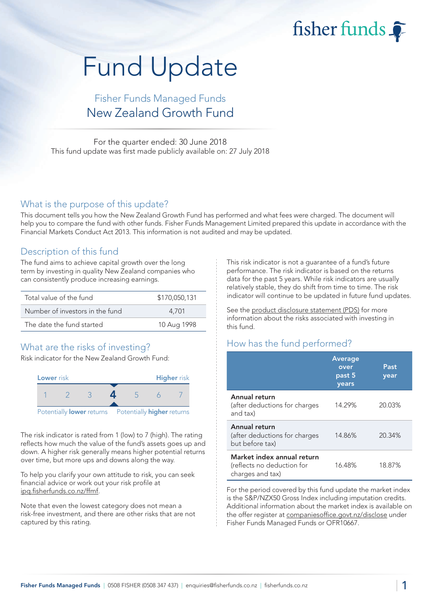fisher funds

# Fund Update

## Fisher Funds Managed Funds New Zealand Growth Fund

For the quarter ended: 30 June 2018 This fund update was first made publicly available on: 27 July 2018

#### What is the purpose of this update?

This document tells you how the New Zealand Growth Fund has performed and what fees were charged. The document will help you to compare the fund with other funds. Fisher Funds Management Limited prepared this update in accordance with the Financial Markets Conduct Act 2013. This information is not audited and may be updated.

### Description of this fund

The fund aims to achieve capital growth over the long term by investing in quality New Zealand companies who can consistently produce increasing earnings.

| Total value of the fund         | \$170,050,131 |
|---------------------------------|---------------|
| Number of investors in the fund | 4.701         |
| The date the fund started       | 10 Aug 1998   |

## What are the risks of investing?

Risk indicator for the New Zealand Growth Fund:



The risk indicator is rated from 1 (low) to 7 (high). The rating reflects how much the value of the fund's assets goes up and down. A higher risk generally means higher potential returns over time, but more ups and downs along the way.

To help you clarify your own attitude to risk, you can seek financial advice or work out your risk profile at [ipq.fisherfunds.co.nz/ffmf.](https://ipq.fisherfunds.co.nz/ffmf)

Note that even the lowest category does not mean a risk-free investment, and there are other risks that are not captured by this rating.

This risk indicator is not a guarantee of a fund's future performance. The risk indicator is based on the returns data for the past 5 years. While risk indicators are usually relatively stable, they do shift from time to time. The risk indicator will continue to be updated in future fund updates.

See the [product disclosure statement \(PDS\)](https://fisherfunds.co.nz/assets/PDS/Fisher-Funds-Managed-Funds-PDS.pdf) for more information about the risks associated with investing in this fund.

## How has the fund performed?

|                                                                              | <b>Average</b><br>over<br>past 5<br>years | Past<br>year |
|------------------------------------------------------------------------------|-------------------------------------------|--------------|
| Annual return<br>(after deductions for charges<br>and tax)                   | 14.29%                                    | 20.03%       |
| Annual return<br>(after deductions for charges<br>but before tax)            | 14.86%                                    | 20.34%       |
| Market index annual return<br>(reflects no deduction for<br>charges and tax) | 16.48%                                    | 18.87%       |

For the period covered by this fund update the market index is the S&P/NZX50 Gross Index including imputation credits. Additional information about the market index is available on the offer register at [companiesoffice.govt.nz/disclose](http://companiesoffice.govt.nz/disclose) under Fisher Funds Managed Funds or OFR10667.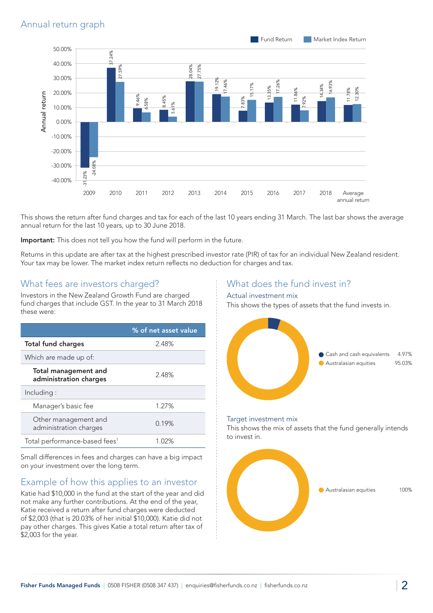

This shows the return after fund charges and tax for each of the last 10 years ending 31 March. The last bar shows the average annual return for the last 10 years, up to 30 June 2018.

Important: This does not tell you how the fund will perform in the future.

Returns in this update are after tax at the highest prescribed investor rate (PIR) of tax for an individual New Zealand resident. Your tax may be lower. The market index return reflects no deduction for charges and tax.

#### What fees are investors charged?

Investors in the New Zealand Growth Fund are charged fund charges that include GST. In the year to 31 March 2018 these were:

|                                                | % of net asset value |
|------------------------------------------------|----------------------|
| <b>Total fund charges</b>                      | 2.48%                |
| Which are made up of:                          |                      |
| Total management and<br>administration charges | 2.48%                |
| Including:                                     |                      |
| Manager's basic fee                            | 1.27%                |
| Other management and<br>administration charges | 0.19%                |
| Total performance-based fees <sup>1</sup>      | 1.02%                |

Small differences in fees and charges can have a big impact on your investment over the long term.

## Example of how this applies to an investor

Katie had \$10,000 in the fund at the start of the year and did not make any further contributions. At the end of the year, Katie received a return after fund charges were deducted of \$2,003 (that is 20.03% of her initial \$10,000). Katie did not pay other charges. This gives Katie a total return after tax of \$2,003 for the year.

## What does the fund invest in?

#### Actual investment mix

This shows the types of assets that the fund invests in.



#### Target investment mix

This shows the mix of assets that the fund generally intends to invest in.